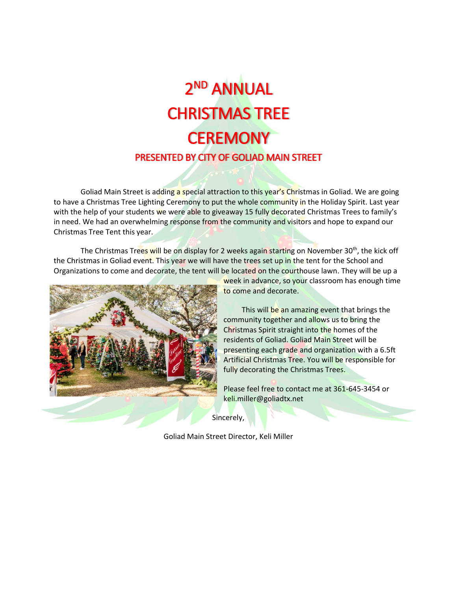# 2 ND ANNUAL CHRISTMAS TREE **CEREMONY** PRESENTED BY CITY OF GOLIAD MAIN STREET

Goliad Main Street is adding a special attraction to this year's Christmas in Goliad. We are going to have a Christmas Tree Lighting Ceremony to put the whole community in the Holiday Spirit. Last year with the help of your students we were able to giveaway 15 fully decorated Christmas Trees to family's in need. We had an overwhelming response from the community and visitors and hope to expand our Christmas Tree Tent this year.

The Christmas Trees will be on display for 2 weeks again starting on November 30<sup>th</sup>, the kick off the Christmas in Goliad event. This year we will have the trees set up in the tent for the School and Organizations to come and decorate, the tent will be located on the courthouse lawn. They will be up a



week in advance, so your classroom has enough time to come and decorate.

This will be an amazing event that brings the community together and allows us to bring the Christmas Spirit straight into the homes of the residents of Goliad. Goliad Main Street will be presenting each grade and organization with a 6.5ft Artificial Christmas Tree. You will be responsible for fully decorating the Christmas Trees.

Please feel free to contact me at 361-645-3454 or keli.miller@goliadtx.net

Sincerely,

Goliad Main Street Director, Keli Miller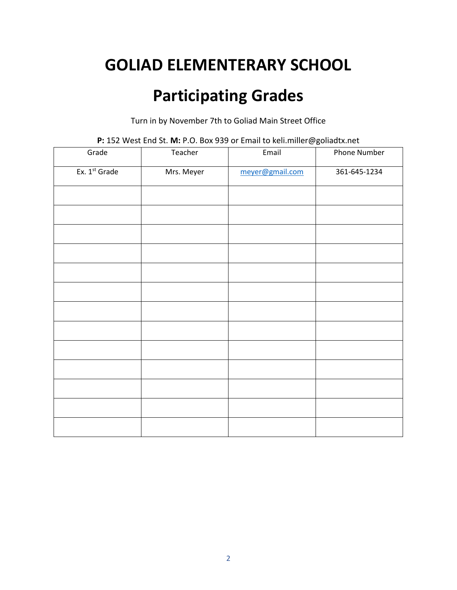#### **GOLIAD ELEMENTERARY SCHOOL**

#### **Participating Grades**

Turn in by November 7th to Goliad Main Street Office

| Grade         | Teacher    | - -<br>Email    | Phone Number |
|---------------|------------|-----------------|--------------|
| Ex. 1st Grade | Mrs. Meyer | meyer@gmail.com | 361-645-1234 |
|               |            |                 |              |
|               |            |                 |              |
|               |            |                 |              |
|               |            |                 |              |
|               |            |                 |              |
|               |            |                 |              |
|               |            |                 |              |
|               |            |                 |              |
|               |            |                 |              |
|               |            |                 |              |
|               |            |                 |              |
|               |            |                 |              |
|               |            |                 |              |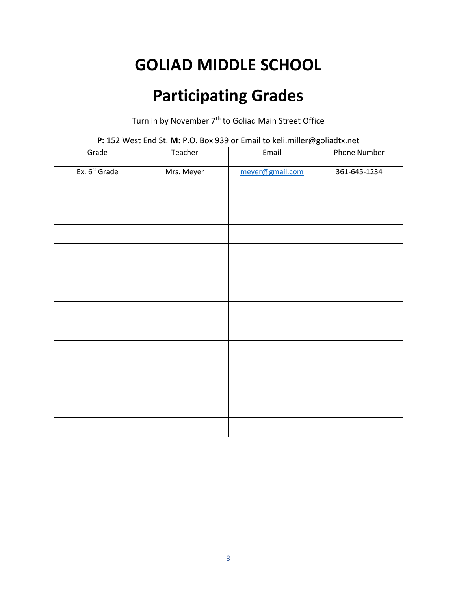# **GOLIAD MIDDLE SCHOOL**

## **Participating Grades**

Turn in by November 7<sup>th</sup> to Goliad Main Street Office

| Grade                     | Teacher    | Email           | - -<br>Phone Number |
|---------------------------|------------|-----------------|---------------------|
| Ex. 6 <sup>st</sup> Grade | Mrs. Meyer | meyer@gmail.com | 361-645-1234        |
|                           |            |                 |                     |
|                           |            |                 |                     |
|                           |            |                 |                     |
|                           |            |                 |                     |
|                           |            |                 |                     |
|                           |            |                 |                     |
|                           |            |                 |                     |
|                           |            |                 |                     |
|                           |            |                 |                     |
|                           |            |                 |                     |
|                           |            |                 |                     |
|                           |            |                 |                     |
|                           |            |                 |                     |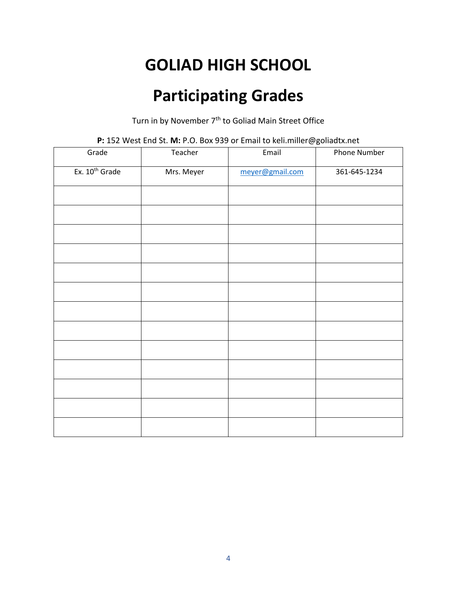# **GOLIAD HIGH SCHOOL**

## **Participating Grades**

Turn in by November 7<sup>th</sup> to Goliad Main Street Office

| Grade                      | Teacher    | Email           | - -<br>Phone Number |
|----------------------------|------------|-----------------|---------------------|
| Ex. 10 <sup>th</sup> Grade | Mrs. Meyer | meyer@gmail.com | 361-645-1234        |
|                            |            |                 |                     |
|                            |            |                 |                     |
|                            |            |                 |                     |
|                            |            |                 |                     |
|                            |            |                 |                     |
|                            |            |                 |                     |
|                            |            |                 |                     |
|                            |            |                 |                     |
|                            |            |                 |                     |
|                            |            |                 |                     |
|                            |            |                 |                     |
|                            |            |                 |                     |
|                            |            |                 |                     |